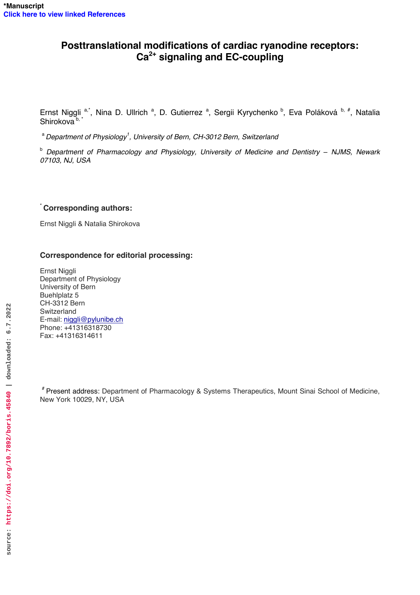## **Posttranslational modifications of cardiac ryanodine receptors: Ca2+ signaling and EC-coupling**

Ernst Niggli a,\*, Nina D. Ullrich <sup>a</sup>, D. Gutierrez <sup>a</sup>, Sergii Kyrychenko <sup>b</sup>, Eva Poláková <sup>b, #</sup>, Natalia Shirokova <sup>b, \*</sup>

<sup>a</sup> Department of Physiology<sup>1</sup>, University of Bern, CH-3012 Bern, Switzerland

<sup>b</sup> Department of Pharmacology and Physiology, University of Medicine and Dentistry – NJMS, Newark *07103, NJ, USA* 

## \* **Corresponding authors:**

Ernst Niggli & Natalia Shirokova

## **Correspondence for editorial processing:**

Ernst Niggli Department of Physiology University of Bern Buehlplatz 5 CH-3312 Bern Switzerland E-mail: [niggli@pylunibe.ch](mailto:niggli@pylunibe.ch) Phone: +41316318730 Fax: +41316314611

# Present address: Department of Pharmacology & Systems Therapeutics, Mount Sinai School of Medicine, New York 10029, NY, USA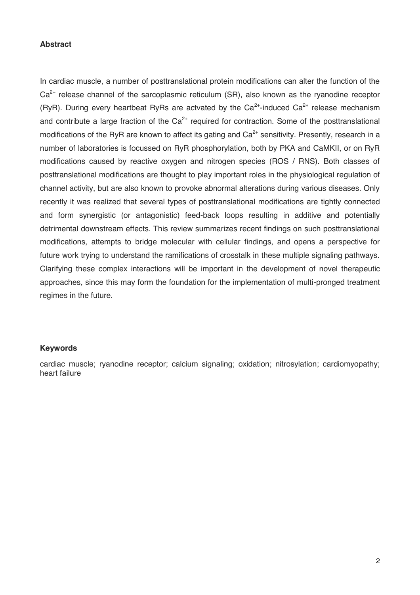#### **Abstract**

In cardiac muscle, a number of posttranslational protein modifications can alter the function of the  $Ca<sup>2+</sup>$  release channel of the sarcoplasmic reticulum (SR), also known as the ryanodine receptor (RyR). During every heartbeat RyRs are actvated by the  $Ca<sup>2+</sup>$ -induced  $Ca<sup>2+</sup>$  release mechanism and contribute a large fraction of the  $Ca^{2+}$  required for contraction. Some of the posttranslational modifications of the RyR are known to affect its gating and  $Ca<sup>2+</sup>$  sensitivity. Presently, research in a number of laboratories is focussed on RyR phosphorylation, both by PKA and CaMKII, or on RyR modifications caused by reactive oxygen and nitrogen species (ROS / RNS). Both classes of posttranslational modifications are thought to play important roles in the physiological regulation of channel activity, but are also known to provoke abnormal alterations during various diseases. Only recently it was realized that several types of posttranslational modifications are tightly connected and form synergistic (or antagonistic) feed-back loops resulting in additive and potentially detrimental downstream effects. This review summarizes recent findings on such posttranslational modifications, attempts to bridge molecular with cellular findings, and opens a perspective for future work trying to understand the ramifications of crosstalk in these multiple signaling pathways. Clarifying these complex interactions will be important in the development of novel therapeutic approaches, since this may form the foundation for the implementation of multi-pronged treatment regimes in the future.

#### **Keywords**

cardiac muscle; ryanodine receptor; calcium signaling; oxidation; nitrosylation; cardiomyopathy; heart failure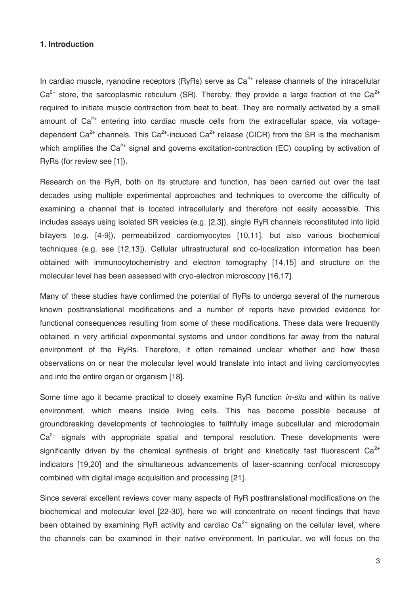### **1. Introduction**

In cardiac muscle, ryanodine receptors (RyRs) serve as  $Ca<sup>2+</sup>$  release channels of the intracellular  $Ca<sup>2+</sup>$  store, the sarcoplasmic reticulum (SR). Thereby, they provide a large fraction of the Ca<sup>2+</sup> required to initiate muscle contraction from beat to beat. They are normally activated by a small amount of  $Ca^{2+}$  entering into cardiac muscle cells from the extracellular space, via voltagedependent Ca<sup>2+</sup> channels. This Ca<sup>2+</sup>-induced Ca<sup>2+</sup> release (CICR) from the SR is the mechanism which amplifies the  $Ca^{2+}$  signal and governs excitation-contraction (EC) coupling by activation of RyRs (for review see [1]).

Research on the RyR, both on its structure and function, has been carried out over the last decades using multiple experimental approaches and techniques to overcome the difficulty of examining a channel that is located intracellularly and therefore not easily accessible. This includes assays using isolated SR vesicles (e.g. [2,3]), single RyR channels reconstituted into lipid bilayers (e.g. [4-9]), permeabilized cardiomyocytes [10,11], but also various biochemical techniques (e.g. see [12,13]). Cellular ultrastructural and co-localization information has been obtained with immunocytochemistry and electron tomography [14,15] and structure on the molecular level has been assessed with cryo-electron microscopy [16,17].

Many of these studies have confirmed the potential of RyRs to undergo several of the numerous known posttranslational modifications and a number of reports have provided evidence for functional consequences resulting from some of these modifications. These data were frequently obtained in very artificial experimental systems and under conditions far away from the natural environment of the RyRs. Therefore, it often remained unclear whether and how these observations on or near the molecular level would translate into intact and living cardiomyocytes and into the entire organ or organism [18].

Some time ago it became practical to closely examine RyR function *in-situ* and within its native environment, which means inside living cells. This has become possible because of groundbreaking developments of technologies to faithfully image subcellular and microdomain  $Ca<sup>2+</sup>$  signals with appropriate spatial and temporal resolution. These developments were significantly driven by the chemical synthesis of bright and kinetically fast fluorescent  $Ca^{2+}$ indicators [19,20] and the simultaneous advancements of laser-scanning confocal microscopy combined with digital image acquisition and processing [21].

Since several excellent reviews cover many aspects of RyR posttranslational modifications on the biochemical and molecular level [22-30], here we will concentrate on recent findings that have been obtained by examining RyR activity and cardiac  $Ca<sup>2+</sup>$  signaling on the cellular level, where the channels can be examined in their native environment. In particular, we will focus on the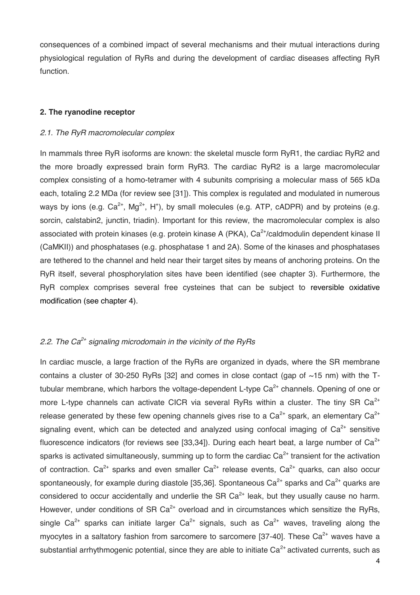consequences of a combined impact of several mechanisms and their mutual interactions during physiological regulation of RyRs and during the development of cardiac diseases affecting RyR function.

## **2. The ryanodine receptor**

#### *2.1. The RyR macromolecular complex*

In mammals three RyR isoforms are known: the skeletal muscle form RyR1, the cardiac RyR2 and the more broadly expressed brain form RyR3. The cardiac RyR2 is a large macromolecular complex consisting of a homo-tetramer with 4 subunits comprising a molecular mass of 565 kDa each, totaling 2.2 MDa (for review see [31]). This complex is regulated and modulated in numerous ways by ions (e.g.  $Ca^{2+}$ , Mg<sup>2+</sup>, H<sup>+</sup>), by small molecules (e.g. ATP, cADPR) and by proteins (e.g. sorcin, calstabin2, junctin, triadin). Important for this review, the macromolecular complex is also associated with protein kinases (e.g. protein kinase A (PKA), Ca<sup>2+</sup>/caldmodulin dependent kinase II (CaMKII)) and phosphatases (e.g. phosphatase 1 and 2A). Some of the kinases and phosphatases are tethered to the channel and held near their target sites by means of anchoring proteins. On the RyR itself, several phosphorylation sites have been identified (see chapter 3). Furthermore, the RyR complex comprises several free cysteines that can be subject to reversible oxidative modification (see chapter 4).

## *2.2. The Ca2+ signaling microdomain in the vicinity of the RyRs*

In cardiac muscle, a large fraction of the RyRs are organized in dyads, where the SR membrane contains a cluster of 30-250 RyRs [32] and comes in close contact (gap of  $~15$  nm) with the Ttubular membrane, which harbors the voltage-dependent L-type  $Ca<sup>2+</sup>$  channels. Opening of one or more L-type channels can activate CICR via several RyRs within a cluster. The tiny SR  $Ca^{2+}$ release generated by these few opening channels gives rise to a  $Ca^{2+}$  spark, an elementary  $Ca^{2+}$ signaling event, which can be detected and analyzed using confocal imaging of  $Ca<sup>2+</sup>$  sensitive fluorescence indicators (for reviews see [33,34]). During each heart beat, a large number of  $Ca^{2+}$ sparks is activated simultaneously, summing up to form the cardiac  $Ca<sup>2+</sup>$  transient for the activation of contraction.  $Ca^{2+}$  sparks and even smaller  $Ca^{2+}$  release events,  $Ca^{2+}$  quarks, can also occur spontaneously, for example during diastole [35,36]. Spontaneous  $Ca^{2+}$  sparks and  $Ca^{2+}$  quarks are considered to occur accidentally and underlie the SR  $Ca<sup>2+</sup>$  leak, but they usually cause no harm. However, under conditions of SR  $Ca^{2+}$  overload and in circumstances which sensitize the RyRs, single Ca<sup>2+</sup> sparks can initiate larger Ca<sup>2+</sup> signals, such as Ca<sup>2+</sup> waves, traveling along the myocytes in a saltatory fashion from sarcomere to sarcomere [37-40]. These  $Ca<sup>2+</sup>$  waves have a substantial arrhythmogenic potential, since they are able to initiate  $Ca<sup>2+</sup>$  activated currents, such as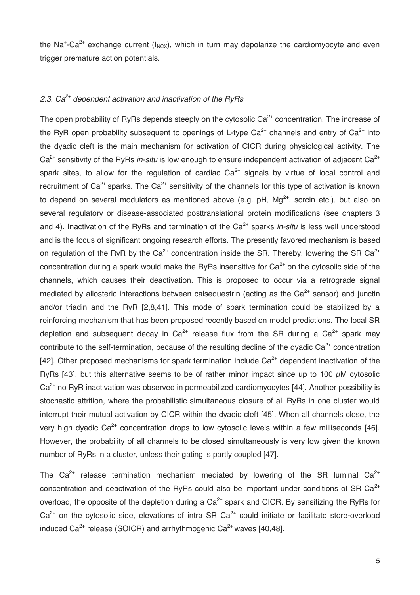the Na<sup>+</sup>-Ca<sup>2+</sup> exchange current ( $I_{NCX}$ ), which in turn may depolarize the cardiomyocyte and even trigger premature action potentials.

## *2.3. Ca2+ dependent activation and inactivation of the RyRs*

The open probability of RyRs depends steeply on the cytosolic  $Ca<sup>2+</sup>$  concentration. The increase of the RyR open probability subsequent to openings of L-type  $Ca^{2+}$  channels and entry of  $Ca^{2+}$  into the dyadic cleft is the main mechanism for activation of CICR during physiological activity. The Ca<sup>2+</sup> sensitivity of the RyRs *in-situ* is low enough to ensure independent activation of adjacent Ca<sup>2+</sup> spark sites, to allow for the regulation of cardiac  $Ca<sup>2+</sup>$  signals by virtue of local control and recruitment of  $Ca^{2+}$  sparks. The  $Ca^{2+}$  sensitivity of the channels for this type of activation is known to depend on several modulators as mentioned above (e.g. pH,  $Ma^{2+}$ , sorcin etc.), but also on several regulatory or disease-associated posttranslational protein modifications (see chapters 3 and 4). Inactivation of the RyRs and termination of the Ca<sup>2+</sup> sparks *in-situ* is less well understood and is the focus of significant ongoing research efforts. The presently favored mechanism is based on regulation of the RyR by the  $Ca^{2+}$  concentration inside the SR. Thereby, lowering the SR  $Ca^{2+}$ concentration during a spark would make the RyRs insensitive for  $Ca<sup>2+</sup>$  on the cytosolic side of the channels, which causes their deactivation. This is proposed to occur via a retrograde signal mediated by allosteric interactions between calsequestrin (acting as the  $Ca<sup>2+</sup>$  sensor) and junctin and/or triadin and the RyR [2,8,41]. This mode of spark termination could be stabilized by a reinforcing mechanism that has been proposed recently based on model predictions. The local SR depletion and subsequent decay in  $Ca^{2+}$  release flux from the SR during a  $Ca^{2+}$  spark may contribute to the self-termination, because of the resulting decline of the dyadic  $Ca<sup>2+</sup>$  concentration [42]. Other proposed mechanisms for spark termination include  $Ca<sup>2+</sup>$  dependent inactivation of the RyRs [43], but this alternative seems to be of rather minor impact since up to 100  $\mu$ M cytosolic  $Ca<sup>2+</sup>$  no RyR inactivation was observed in permeabilized cardiomyocytes [44]. Another possibility is stochastic attrition, where the probabilistic simultaneous closure of all RyRs in one cluster would interrupt their mutual activation by CICR within the dyadic cleft [45]. When all channels close, the very high dyadic  $Ca^{2+}$  concentration drops to low cytosolic levels within a few milliseconds [46]. However, the probability of all channels to be closed simultaneously is very low given the known number of RyRs in a cluster, unless their gating is partly coupled [47].

The  $Ca^{2+}$  release termination mechanism mediated by lowering of the SR luminal  $Ca^{2+}$ concentration and deactivation of the RyRs could also be important under conditions of SR Ca<sup>2+</sup> overload, the opposite of the depletion during a  $Ca^{2+}$  spark and CICR. By sensitizing the RyRs for  $Ca<sup>2+</sup>$  on the cytosolic side, elevations of intra SR  $Ca<sup>2+</sup>$  could initiate or facilitate store-overload induced  $Ca^{2+}$  release (SOICR) and arrhythmogenic  $Ca^{2+}$  waves [40,48].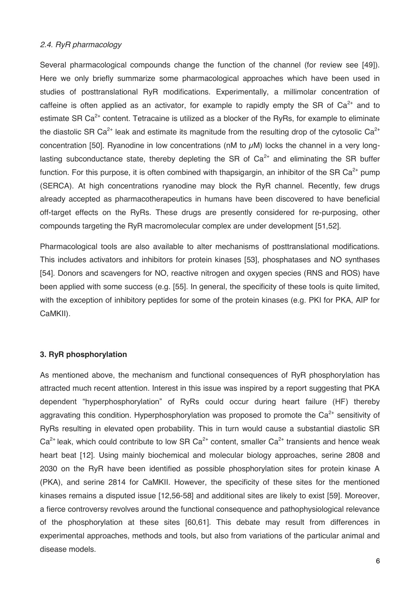### *2.4. RyR pharmacology*

Several pharmacological compounds change the function of the channel (for review see [49]). Here we only briefly summarize some pharmacological approaches which have been used in studies of posttranslational RyR modifications. Experimentally, a millimolar concentration of caffeine is often applied as an activator, for example to rapidly empty the SR of  $Ca^{2+}$  and to estimate SR  $Ca<sup>2+</sup>$  content. Tetracaine is utilized as a blocker of the RyRs, for example to eliminate the diastolic SR Ca<sup>2+</sup> leak and estimate its magnitude from the resulting drop of the cytosolic Ca<sup>2+</sup> concentration [50]. Ryanodine in low concentrations (nM to  $\mu$ M) locks the channel in a very longlasting subconductance state, thereby depleting the SR of  $Ca<sup>2+</sup>$  and eliminating the SR buffer function. For this purpose, it is often combined with thapsigargin, an inhibitor of the SR Ca<sup>2+</sup> pump (SERCA). At high concentrations ryanodine may block the RyR channel. Recently, few drugs already accepted as pharmacotherapeutics in humans have been discovered to have beneficial off-target effects on the RyRs. These drugs are presently considered for re-purposing, other compounds targeting the RyR macromolecular complex are under development [51,52].

Pharmacological tools are also available to alter mechanisms of posttranslational modifications. This includes activators and inhibitors for protein kinases [53], phosphatases and NO synthases [54]. Donors and scavengers for NO, reactive nitrogen and oxygen species (RNS and ROS) have been applied with some success (e.g. [55]. In general, the specificity of these tools is quite limited, with the exception of inhibitory peptides for some of the protein kinases (e.g. PKI for PKA, AIP for CaMKII).

## **3. RyR phosphorylation**

As mentioned above, the mechanism and functional consequences of RyR phosphorylation has attracted much recent attention. Interest in this issue was inspired by a report suggesting that PKA dependent "hyperphosphorylation" of RyRs could occur during heart failure (HF) thereby aggravating this condition. Hyperphosphorylation was proposed to promote the  $Ca<sup>2+</sup>$  sensitivity of RyRs resulting in elevated open probability. This in turn would cause a substantial diastolic SR  $Ca<sup>2+</sup>$  leak, which could contribute to low SR  $Ca<sup>2+</sup>$  content, smaller  $Ca<sup>2+</sup>$  transients and hence weak heart beat [12]. Using mainly biochemical and molecular biology approaches, serine 2808 and 2030 on the RyR have been identified as possible phosphorylation sites for protein kinase A (PKA), and serine 2814 for CaMKII. However, the specificity of these sites for the mentioned kinases remains a disputed issue [12,56-58] and additional sites are likely to exist [59]. Moreover, a fierce controversy revolves around the functional consequence and pathophysiological relevance of the phosphorylation at these sites [60,61]. This debate may result from differences in experimental approaches, methods and tools, but also from variations of the particular animal and disease models.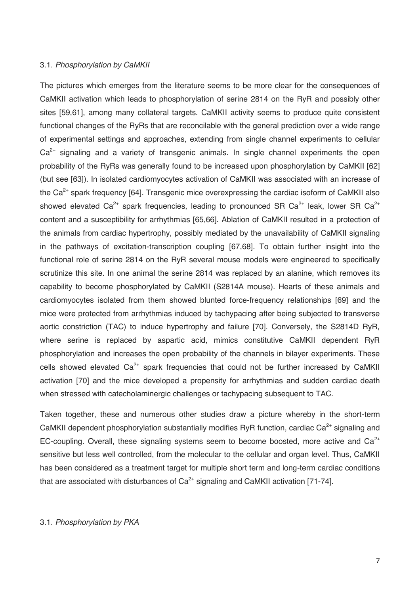#### 3.1. *Phosphorylation by CaMKII*

The pictures which emerges from the literature seems to be more clear for the consequences of CaMKII activation which leads to phosphorylation of serine 2814 on the RyR and possibly other sites [59,61], among many collateral targets. CaMKII activity seems to produce quite consistent functional changes of the RyRs that are reconcilable with the general prediction over a wide range of experimental settings and approaches, extending from single channel experiments to cellular  $Ca<sup>2+</sup>$  signaling and a variety of transgenic animals. In single channel experiments the open probability of the RyRs was generally found to be increased upon phosphorylation by CaMKII [62] (but see [63]). In isolated cardiomyocytes activation of CaMKII was associated with an increase of the  $Ca<sup>2+</sup>$  spark frequency [64]. Transgenic mice overexpressing the cardiac isoform of CaMKII also showed elevated Ca<sup>2+</sup> spark frequencies, leading to pronounced SR Ca<sup>2+</sup> leak, lower SR Ca<sup>2+</sup> content and a susceptibility for arrhythmias [65,66]. Ablation of CaMKII resulted in a protection of the animals from cardiac hypertrophy, possibly mediated by the unavailability of CaMKII signaling in the pathways of excitation-transcription coupling [67,68]. To obtain further insight into the functional role of serine 2814 on the RyR several mouse models were engineered to specifically scrutinize this site. In one animal the serine 2814 was replaced by an alanine, which removes its capability to become phosphorylated by CaMKII (S2814A mouse). Hearts of these animals and cardiomyocytes isolated from them showed blunted force-frequency relationships [69] and the mice were protected from arrhythmias induced by tachypacing after being subjected to transverse aortic constriction (TAC) to induce hypertrophy and failure [70]. Conversely, the S2814D RyR, where serine is replaced by aspartic acid, mimics constitutive CaMKII dependent RyR phosphorylation and increases the open probability of the channels in bilayer experiments. These cells showed elevated  $Ca^{2+}$  spark frequencies that could not be further increased by CaMKII activation [70] and the mice developed a propensity for arrhythmias and sudden cardiac death when stressed with catecholaminergic challenges or tachypacing subsequent to TAC.

Taken together, these and numerous other studies draw a picture whereby in the short-term CaMKII dependent phosphorylation substantially modifies RyR function, cardiac  $Ca<sup>2+</sup>$  signaling and EC-coupling. Overall, these signaling systems seem to become boosted, more active and  $Ca<sup>2+</sup>$ sensitive but less well controlled, from the molecular to the cellular and organ level. Thus, CaMKII has been considered as a treatment target for multiple short term and long-term cardiac conditions that are associated with disturbances of  $Ca<sup>2+</sup>$  signaling and CaMKII activation [71-74].

## 3.1. *Phosphorylation by PKA*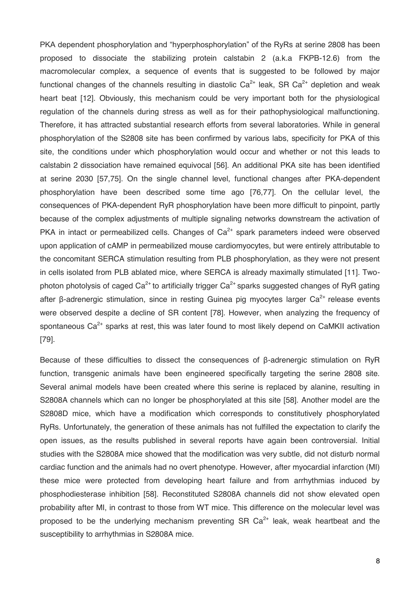PKA dependent phosphorylation and "hyperphosphorylation" of the RyRs at serine 2808 has been proposed to dissociate the stabilizing protein calstabin 2 (a.k.a FKPB-12.6) from the macromolecular complex, a sequence of events that is suggested to be followed by major functional changes of the channels resulting in diastolic  $Ca^{2+}$  leak, SR  $Ca^{2+}$  depletion and weak heart beat [12]. Obviously, this mechanism could be very important both for the physiological regulation of the channels during stress as well as for their pathophysiological malfunctioning. Therefore, it has attracted substantial research efforts from several laboratories. While in general phosphorylation of the S2808 site has been confirmed by various labs, specificity for PKA of this site, the conditions under which phosphorylation would occur and whether or not this leads to calstabin 2 dissociation have remained equivocal [56]. An additional PKA site has been identified at serine 2030 [57,75]. On the single channel level, functional changes after PKA-dependent phosphorylation have been described some time ago [76,77]. On the cellular level, the consequences of PKA-dependent RyR phosphorylation have been more difficult to pinpoint, partly because of the complex adjustments of multiple signaling networks downstream the activation of PKA in intact or permeabilized cells. Changes of  $Ca<sup>2+</sup>$  spark parameters indeed were observed upon application of cAMP in permeabilized mouse cardiomyocytes, but were entirely attributable to the concomitant SERCA stimulation resulting from PLB phosphorylation, as they were not present in cells isolated from PLB ablated mice, where SERCA is already maximally stimulated [11]. Twophoton photolysis of caged  $Ca^{2+}$  to artificially trigger  $Ca^{2+}$  sparks suggested changes of RyR gating after β-adrenergic stimulation, since in resting Guinea pig myocytes larger  $Ca<sup>2+</sup>$  release events were observed despite a decline of SR content [78]. However, when analyzing the frequency of spontaneous  $Ca<sup>2+</sup>$  sparks at rest, this was later found to most likely depend on CaMKII activation [79].

Because of these difficulties to dissect the consequences of β-adrenergic stimulation on RyR function, transgenic animals have been engineered specifically targeting the serine 2808 site. Several animal models have been created where this serine is replaced by alanine, resulting in S2808A channels which can no longer be phosphorylated at this site [58]. Another model are the S2808D mice, which have a modification which corresponds to constitutively phosphorylated RyRs. Unfortunately, the generation of these animals has not fulfilled the expectation to clarify the open issues, as the results published in several reports have again been controversial. Initial studies with the S2808A mice showed that the modification was very subtle, did not disturb normal cardiac function and the animals had no overt phenotype. However, after myocardial infarction (MI) these mice were protected from developing heart failure and from arrhythmias induced by phosphodiesterase inhibition [58]. Reconstituted S2808A channels did not show elevated open probability after MI, in contrast to those from WT mice. This difference on the molecular level was proposed to be the underlying mechanism preventing SR  $Ca<sup>2+</sup>$  leak, weak heartbeat and the susceptibility to arrhythmias in S2808A mice.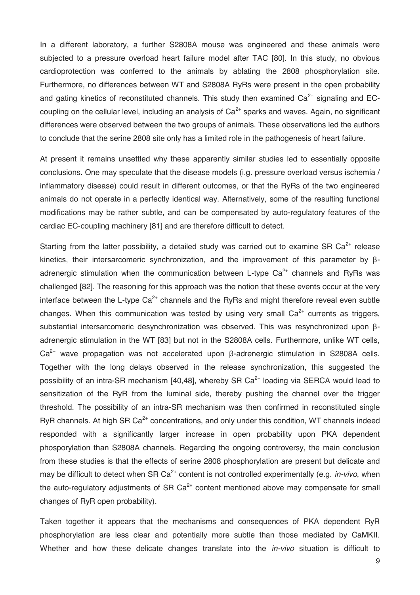In a different laboratory, a further S2808A mouse was engineered and these animals were subjected to a pressure overload heart failure model after TAC [80]. In this study, no obvious cardioprotection was conferred to the animals by ablating the 2808 phosphorylation site. Furthermore, no differences between WT and S2808A RyRs were present in the open probability and gating kinetics of reconstituted channels. This study then examined  $Ca<sup>2+</sup>$  signaling and ECcoupling on the cellular level, including an analysis of  $Ca<sup>2+</sup>$  sparks and waves. Again, no significant differences were observed between the two groups of animals. These observations led the authors to conclude that the serine 2808 site only has a limited role in the pathogenesis of heart failure.

At present it remains unsettled why these apparently similar studies led to essentially opposite conclusions. One may speculate that the disease models (i.g. pressure overload versus ischemia / inflammatory disease) could result in different outcomes, or that the RyRs of the two engineered animals do not operate in a perfectly identical way. Alternatively, some of the resulting functional modifications may be rather subtle, and can be compensated by auto-regulatory features of the cardiac EC-coupling machinery [81] and are therefore difficult to detect.

Starting from the latter possibility, a detailed study was carried out to examine SR  $Ca^{2+}$  release kinetics, their intersarcomeric synchronization, and the improvement of this parameter by βadrenergic stimulation when the communication between L-type  $Ca<sup>2+</sup>$  channels and RyRs was challenged [82]. The reasoning for this approach was the notion that these events occur at the very interface between the L-type  $Ca^{2+}$  channels and the RyRs and might therefore reveal even subtle changes. When this communication was tested by using very small  $Ca^{2+}$  currents as triggers, substantial intersarcomeric desynchronization was observed. This was resynchronized upon βadrenergic stimulation in the WT [83] but not in the S2808A cells. Furthermore, unlike WT cells, Ca2+ wave propagation was not accelerated upon β-adrenergic stimulation in S2808A cells. Together with the long delays observed in the release synchronization, this suggested the possibility of an intra-SR mechanism  $[40,48]$ , whereby SR Ca<sup>2+</sup> loading via SERCA would lead to sensitization of the RyR from the luminal side, thereby pushing the channel over the trigger threshold. The possibility of an intra-SR mechanism was then confirmed in reconstituted single RyR channels. At high SR  $Ca<sup>2+</sup>$  concentrations, and only under this condition, WT channels indeed responded with a significantly larger increase in open probability upon PKA dependent phosporylation than S2808A channels. Regarding the ongoing controversy, the main conclusion from these studies is that the effects of serine 2808 phosphorylation are present but delicate and may be difficult to detect when SR Ca<sup>2+</sup> content is not controlled experimentally (e.g. *in-vivo*, when the auto-regulatory adjustments of SR  $Ca<sup>2+</sup>$  content mentioned above may compensate for small changes of RyR open probability).

Taken together it appears that the mechanisms and consequences of PKA dependent RyR phosphorylation are less clear and potentially more subtle than those mediated by CaMKII. Whether and how these delicate changes translate into the *in-vivo* situation is difficult to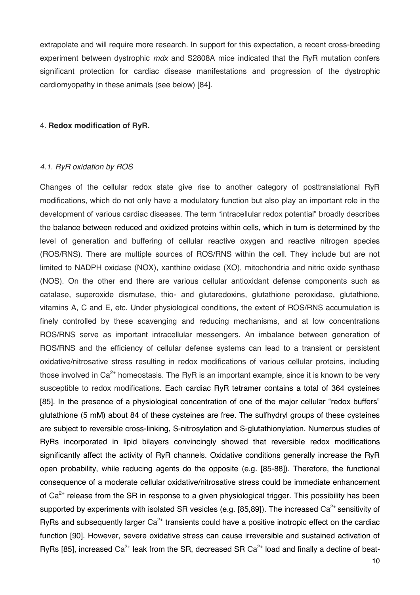extrapolate and will require more research. In support for this expectation, a recent cross-breeding experiment between dystrophic *mdx* and S2808A mice indicated that the RyR mutation confers significant protection for cardiac disease manifestations and progression of the dystrophic cardiomyopathy in these animals (see below) [84].

#### 4. **Redox modification of RyR.**

## *4.1. RyR oxidation by ROS*

Changes of the cellular redox state give rise to another category of posttranslational RyR modifications, which do not only have a modulatory function but also play an important role in the development of various cardiac diseases. The term "intracellular redox potential" broadly describes the balance between reduced and oxidized proteins within cells, which in turn is determined by the level of generation and buffering of cellular reactive oxygen and reactive nitrogen species (ROS/RNS). There are multiple sources of ROS/RNS within the cell. They include but are not limited to NADPH oxidase (NOX), xanthine oxidase (XO), mitochondria and nitric oxide synthase (NOS). On the other end there are various cellular antioxidant defense components such as catalase, superoxide dismutase, thio- and glutaredoxins, glutathione peroxidase, glutathione, vitamins A, C and E, etc. Under physiological conditions, the extent of ROS/RNS accumulation is finely controlled by these scavenging and reducing mechanisms, and at low concentrations ROS/RNS serve as important intracellular messengers. An imbalance between generation of ROS/RNS and the efficiency of cellular defense systems can lead to a transient or persistent oxidative/nitrosative stress resulting in redox modifications of various cellular proteins, including those involved in  $Ca^{2+}$  homeostasis. The RyR is an important example, since it is known to be very susceptible to redox modifications. Each cardiac RyR tetramer contains a total of 364 cysteines [85]. In the presence of a physiological concentration of one of the major cellular "redox buffers" glutathione (5 mM) about 84 of these cysteines are free. The sulfhydryl groups of these cysteines are subject to reversible cross-linking, S-nitrosylation and S-glutathionylation. Numerous studies of RyRs incorporated in lipid bilayers convincingly showed that reversible redox modifications significantly affect the activity of RyR channels. Oxidative conditions generally increase the RyR open probability, while reducing agents do the opposite (e.g. [85-88]). Therefore, the functional consequence of a moderate cellular oxidative/nitrosative stress could be immediate enhancement of  $Ca<sup>2+</sup>$  release from the SR in response to a given physiological trigger. This possibility has been supported by experiments with isolated SR vesicles (e.g. [85,89]). The increased  $Ca<sup>2+</sup>$  sensitivity of RyRs and subsequently larger  $Ca<sup>2+</sup>$  transients could have a positive inotropic effect on the cardiac function [90]. However, severe oxidative stress can cause irreversible and sustained activation of RyRs [85], increased  $Ca^{2+}$  leak from the SR, decreased SR  $Ca^{2+}$  load and finally a decline of beat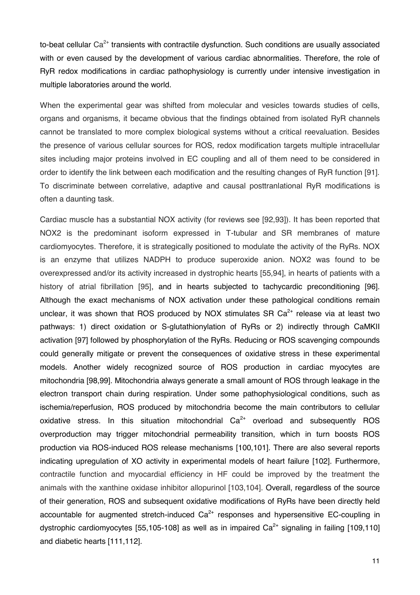to-beat cellular  $Ca^{2+}$  transients with contractile dysfunction. Such conditions are usually associated with or even caused by the development of various cardiac abnormalities. Therefore, the role of RyR redox modifications in cardiac pathophysiology is currently under intensive investigation in multiple laboratories around the world.

When the experimental gear was shifted from molecular and vesicles towards studies of cells, organs and organisms, it became obvious that the findings obtained from isolated RyR channels cannot be translated to more complex biological systems without a critical reevaluation. Besides the presence of various cellular sources for ROS, redox modification targets multiple intracellular sites including major proteins involved in EC coupling and all of them need to be considered in order to identify the link between each modification and the resulting changes of RyR function [91]. To discriminate between correlative, adaptive and causal posttranlational RyR modifications is often a daunting task.

Cardiac muscle has a substantial NOX activity (for reviews see [92,93]). It has been reported that NOX2 is the predominant isoform expressed in T-tubular and SR membranes of mature cardiomyocytes. Therefore, it is strategically positioned to modulate the activity of the RyRs. NOX is an enzyme that utilizes NADPH to produce superoxide anion. NOX2 was found to be overexpressed and/or its activity increased in dystrophic hearts [55,94], in hearts of patients with a history of atrial fibrillation [95], and in hearts subjected to tachycardic preconditioning [96]. Although the exact mechanisms of NOX activation under these pathological conditions remain unclear, it was shown that ROS produced by NOX stimulates SR  $Ca<sup>2+</sup>$  release via at least two pathways: 1) direct oxidation or S-glutathionylation of RyRs or 2) indirectly through CaMKII activation [97] followed by phosphorylation of the RyRs. Reducing or ROS scavenging compounds could generally mitigate or prevent the consequences of oxidative stress in these experimental models. Another widely recognized source of ROS production in cardiac myocytes are mitochondria [98,99]. Mitochondria always generate a small amount of ROS through leakage in the electron transport chain during respiration. Under some pathophysiological conditions, such as ischemia/reperfusion, ROS produced by mitochondria become the main contributors to cellular oxidative stress. In this situation mitochondrial  $Ca^{2+}$  overload and subsequently ROS overproduction may trigger mitochondrial permeability transition, which in turn boosts ROS production via ROS-induced ROS release mechanisms [100,101]. There are also several reports indicating upregulation of XO activity in experimental models of heart failure [102]. Furthermore, contractile function and myocardial efficiency in HF could be improved by the treatment the animals with the xanthine oxidase inhibitor allopurinol [103,104]. Overall, regardless of the source of their generation, ROS and subsequent oxidative modifications of RyRs have been directly held accountable for augmented stretch-induced  $Ca<sup>2+</sup>$  responses and hypersensitive EC-coupling in dystrophic cardiomyocytes [55,105-108] as well as in impaired  $Ca<sup>2+</sup>$  signaling in failing [109,110] and diabetic hearts [111,112].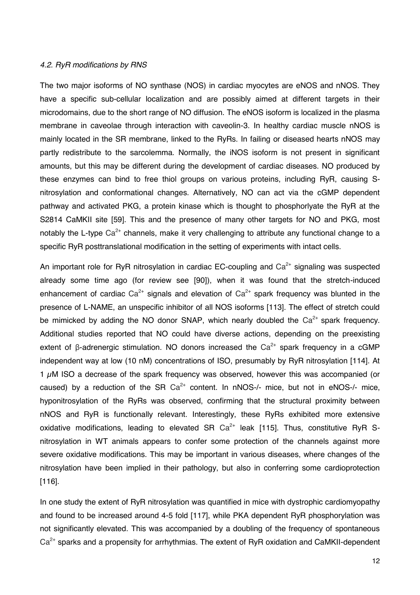#### *4.2. RyR modifications by RNS*

The two major isoforms of NO synthase (NOS) in cardiac myocytes are eNOS and nNOS. They have a specific sub-cellular localization and are possibly aimed at different targets in their microdomains, due to the short range of NO diffusion. The eNOS isoform is localized in the plasma membrane in caveolae through interaction with caveolin-3. In healthy cardiac muscle nNOS is mainly located in the SR membrane, linked to the RyRs. In failing or diseased hearts nNOS may partly redistribute to the sarcolemma. Normally, the iNOS isoform is not present in significant amounts, but this may be different during the development of cardiac diseases. NO produced by these enzymes can bind to free thiol groups on various proteins, including RyR, causing Snitrosylation and conformational changes. Alternatively, NO can act via the cGMP dependent pathway and activated PKG, a protein kinase which is thought to phosphorlyate the RyR at the S2814 CaMKII site [59]. This and the presence of many other targets for NO and PKG, most notably the L-type  $Ca^{2+}$  channels, make it very challenging to attribute any functional change to a specific RyR posttranslational modification in the setting of experiments with intact cells.

An important role for RyR nitrosylation in cardiac EC-coupling and  $Ca<sup>2+</sup>$  signaling was suspected already some time ago (for review see [90]), when it was found that the stretch-induced enhancement of cardiac  $Ca^{2+}$  signals and elevation of  $Ca^{2+}$  spark frequency was blunted in the presence of L-NAME, an unspecific inhibitor of all NOS isoforms [113]. The effect of stretch could be mimicked by adding the NO donor SNAP, which nearly doubled the  $Ca^{2+}$  spark frequency. Additional studies reported that NO could have diverse actions, depending on the preexisting extent of β-adrenergic stimulation. NO donors increased the  $Ca^{2+}$  spark frequency in a cGMP independent way at low (10 nM) concentrations of ISO, presumably by RyR nitrosylation [114]. At 1  $\mu$ M ISO a decrease of the spark frequency was observed, however this was accompanied (or caused) by a reduction of the SR  $Ca^{2+}$  content. In nNOS-/- mice, but not in eNOS-/- mice, hyponitrosylation of the RyRs was observed, confirming that the structural proximity between nNOS and RyR is functionally relevant. Interestingly, these RyRs exhibited more extensive oxidative modifications, leading to elevated SR  $Ca^{2+}$  leak [115]. Thus, constitutive RyR Snitrosylation in WT animals appears to confer some protection of the channels against more severe oxidative modifications. This may be important in various diseases, where changes of the nitrosylation have been implied in their pathology, but also in conferring some cardioprotection [116].

In one study the extent of RyR nitrosylation was quantified in mice with dystrophic cardiomyopathy and found to be increased around 4-5 fold [117], while PKA dependent RyR phosphorylation was not significantly elevated. This was accompanied by a doubling of the frequency of spontaneous  $Ca<sup>2+</sup>$  sparks and a propensity for arrhythmias. The extent of RyR oxidation and CaMKII-dependent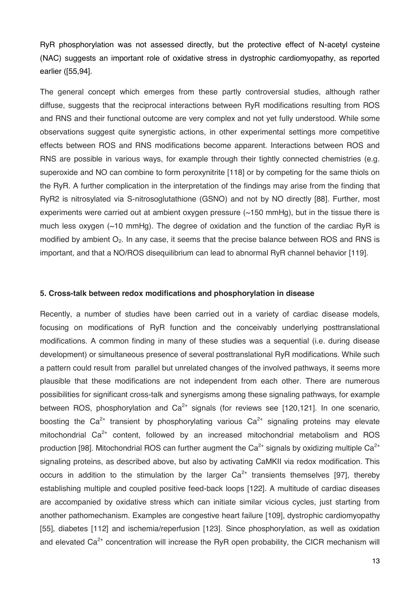RyR phosphorylation was not assessed directly, but the protective effect of N-acetyl cysteine (NAC) suggests an important role of oxidative stress in dystrophic cardiomyopathy, as reported earlier ([55,94].

The general concept which emerges from these partly controversial studies, although rather diffuse, suggests that the reciprocal interactions between RyR modifications resulting from ROS and RNS and their functional outcome are very complex and not yet fully understood. While some observations suggest quite synergistic actions, in other experimental settings more competitive effects between ROS and RNS modifications become apparent. Interactions between ROS and RNS are possible in various ways, for example through their tightly connected chemistries (e.g. superoxide and NO can combine to form peroxynitrite [118] or by competing for the same thiols on the RyR. A further complication in the interpretation of the findings may arise from the finding that RyR2 is nitrosylated via S-nitrosoglutathione (GSNO) and not by NO directly [88]. Further, most experiments were carried out at ambient oxygen pressure (~150 mmHg), but in the tissue there is much less oxygen (~10 mmHg). The degree of oxidation and the function of the cardiac RyR is modified by ambient  $O<sub>2</sub>$ . In any case, it seems that the precise balance between ROS and RNS is important, and that a NO/ROS disequilibrium can lead to abnormal RyR channel behavior [119].

#### **5. Cross-talk between redox modifications and phosphorylation in disease**

Recently, a number of studies have been carried out in a variety of cardiac disease models, focusing on modifications of RyR function and the conceivably underlying posttranslational modifications. A common finding in many of these studies was a sequential (i.e. during disease development) or simultaneous presence of several posttranslational RyR modifications. While such a pattern could result from parallel but unrelated changes of the involved pathways, it seems more plausible that these modifications are not independent from each other. There are numerous possibilities for significant cross-talk and synergisms among these signaling pathways, for example between ROS, phosphorylation and  $Ca^{2+}$  signals (for reviews see [120,121]. In one scenario, boosting the Ca<sup>2+</sup> transient by phosphorylating various Ca<sup>2+</sup> signaling proteins may elevate mitochondrial  $Ca^{2+}$  content, followed by an increased mitochondrial metabolism and ROS production [98]. Mitochondrial ROS can further augment the  $Ca^{2+}$  signals by oxidizing multiple  $Ca^{2+}$ signaling proteins, as described above, but also by activating CaMKII via redox modification. This occurs in addition to the stimulation by the larger  $Ca^{2+}$  transients themselves [97], thereby establishing multiple and coupled positive feed-back loops [122]. A multitude of cardiac diseases are accompanied by oxidative stress which can initiate similar vicious cycles, just starting from another pathomechanism. Examples are congestive heart failure [109], dystrophic cardiomyopathy [55], diabetes [112] and ischemia/reperfusion [123]. Since phosphorylation, as well as oxidation and elevated  $Ca^{2+}$  concentration will increase the RyR open probability, the CICR mechanism will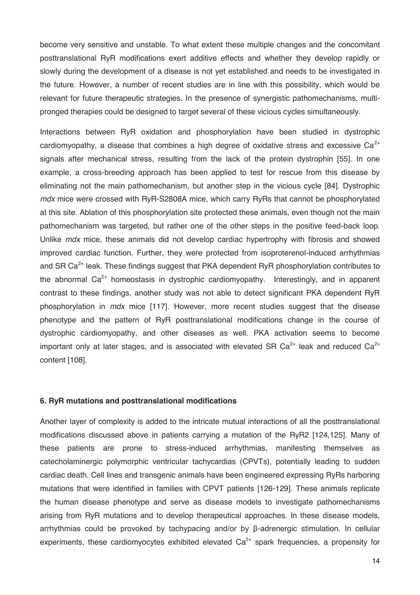become very sensitive and unstable. To what extent these multiple changes and the concomitant posttranslational RyR modifications exert additive effects and whether they develop rapidly or slowly during the development of a disease is not yet established and needs to be investigated in the future. However, a number of recent studies are in line with this possibility, which would be relevant for future therapeutic strategies. In the presence of synergistic pathomechanisms, multipronged therapies could be designed to target several of these vicious cycles simultaneously.

Interactions between RyR oxidation and phosphorylation have been studied in dystrophic cardiomyopathy, a disease that combines a high degree of oxidative stress and excessive  $Ca^{2+}$ signals after mechanical stress, resulting from the lack of the protein dystrophin [55]. In one example, a cross-breeding approach has been applied to test for rescue from this disease by eliminating not the main pathomechanism, but another step in the vicious cycle [84]. Dystrophic *mdx* mice were crossed with RyR-S2808A mice, which carry RyRs that cannot be phosphorylated at this site. Ablation of this phosphorylation site protected these animals, even though not the main pathomechanism was targeted, but rather one of the other steps in the positive feed-back loop. Unlike *mdx* mice, these animals did not develop cardiac hypertrophy with fibrosis and showed improved cardiac function. Further, they were protected from isoproterenol-induced arrhythmias and SR  $Ca<sup>2+</sup>$  leak. These findings suggest that PKA dependent RyR phosphorylation contributes to the abnormal  $Ca^{2+}$  homeostasis in dystrophic cardiomyopathy. Interestingly, and in apparent contrast to these findings, another study was not able to detect significant PKA dependent RyR phosphorylation in *mdx* mice [117]. However, more recent studies suggest that the disease phenotype and the pattern of RyR posttranslational modifications change in the course of dystrophic cardiomyopathy, and other diseases as well. PKA activation seems to become important only at later stages, and is associated with elevated SR  $Ca^{2+}$  leak and reduced  $Ca^{2+}$ content [108].

#### **6. RyR mutations and posttranslational modifications**

Another layer of complexity is added to the intricate mutual interactions of all the posttranslational modifications discussed above in patients carrying a mutation of the RyR2 [124,125]. Many of these patients are prone to stress-induced arrhythmias, manifesting themselves as catecholaminergic polymorphic ventricular tachycardias (CPVTs), potentially leading to sudden cardiac death. Cell lines and transgenic animals have been engineered expressing RyRs harboring mutations that were identified in families with CPVT patients [126-129]. These animals replicate the human disease phenotype and serve as disease models to investigate pathomechanisms arising from RyR mutations and to develop therapeutical approaches. In these disease models, arrhythmias could be provoked by tachypacing and/or by β-adrenergic stimulation. In cellular experiments, these cardiomyocytes exhibited elevated  $Ca<sup>2+</sup>$  spark frequencies, a propensity for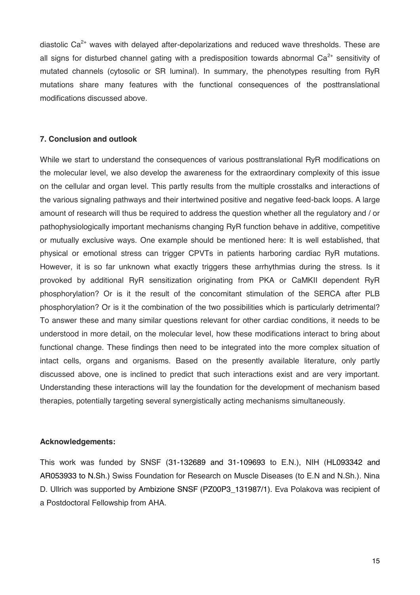diastolic  $Ca<sup>2+</sup>$  waves with delayed after-depolarizations and reduced wave thresholds. These are all signs for disturbed channel gating with a predisposition towards abnormal  $Ca<sup>2+</sup>$  sensitivity of mutated channels (cytosolic or SR luminal). In summary, the phenotypes resulting from RyR mutations share many features with the functional consequences of the posttranslational modifications discussed above.

### **7. Conclusion and outlook**

While we start to understand the consequences of various posttranslational RyR modifications on the molecular level, we also develop the awareness for the extraordinary complexity of this issue on the cellular and organ level. This partly results from the multiple crosstalks and interactions of the various signaling pathways and their intertwined positive and negative feed-back loops. A large amount of research will thus be required to address the question whether all the regulatory and / or pathophysiologically important mechanisms changing RyR function behave in additive, competitive or mutually exclusive ways. One example should be mentioned here: It is well established, that physical or emotional stress can trigger CPVTs in patients harboring cardiac RyR mutations. However, it is so far unknown what exactly triggers these arrhythmias during the stress. Is it provoked by additional RyR sensitization originating from PKA or CaMKII dependent RyR phosphorylation? Or is it the result of the concomitant stimulation of the SERCA after PLB phosphorylation? Or is it the combination of the two possibilities which is particularly detrimental? To answer these and many similar questions relevant for other cardiac conditions, it needs to be understood in more detail, on the molecular level, how these modifications interact to bring about functional change. These findings then need to be integrated into the more complex situation of intact cells, organs and organisms. Based on the presently available literature, only partly discussed above, one is inclined to predict that such interactions exist and are very important. Understanding these interactions will lay the foundation for the development of mechanism based therapies, potentially targeting several synergistically acting mechanisms simultaneously.

## **Acknowledgements:**

This work was funded by SNSF (31-132689 and 31-109693 to E.N.), NIH (HL093342 and AR053933 to N.Sh.) Swiss Foundation for Research on Muscle Diseases (to E.N and N.Sh.). Nina D. Ullrich was supported by Ambizione SNSF (PZ00P3\_131987/1). Eva Polakova was recipient of a Postdoctoral Fellowship from AHA.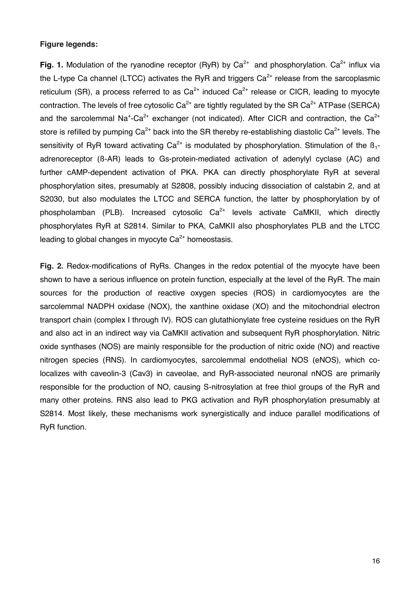## **Figure legends:**

**Fig. 1.** Modulation of the ryanodine receptor (RyR) by  $Ca^{2+}$  and phosphorylation.  $Ca^{2+}$  influx via the L-type Ca channel (LTCC) activates the RyR and triggers  $Ca<sup>2+</sup>$  release from the sarcoplasmic reticulum (SR), a process referred to as  $Ca^{2+}$  induced  $Ca^{2+}$  release or CICR, leading to myocyte contraction. The levels of free cytosolic  $Ca^{2+}$  are tightly regulated by the SR  $Ca^{2+}$  ATPase (SERCA) and the sarcolemmal Na<sup>+</sup>-Ca<sup>2+</sup> exchanger (not indicated). After CICR and contraction, the Ca<sup>2+</sup> store is refilled by pumping  $Ca^{2+}$  back into the SR thereby re-establishing diastolic  $Ca^{2+}$  levels. The sensitivity of RvR toward activating  $Ca^{2+}$  is modulated by phosphorylation. Stimulation of the  $B_1$ adrenoreceptor (ß-AR) leads to Gs-protein-mediated activation of adenylyl cyclase (AC) and further cAMP-dependent activation of PKA. PKA can directly phosphorylate RyR at several phosphorylation sites, presumably at S2808, possibly inducing dissociation of calstabin 2, and at S2030, but also modulates the LTCC and SERCA function, the latter by phosphorylation by of phospholamban (PLB). Increased cytosolic  $Ca^{2+}$  levels activate CaMKII, which directly phosphorylates RyR at S2814. Similar to PKA, CaMKII also phosphorylates PLB and the LTCC leading to global changes in myocyte  $Ca<sup>2+</sup>$  homeostasis.

**Fig. 2.** Redox-modifications of RyRs. Changes in the redox potential of the myocyte have been shown to have a serious influence on protein function, especially at the level of the RyR. The main sources for the production of reactive oxygen species (ROS) in cardiomyocytes are the sarcolemmal NADPH oxidase (NOX), the xanthine oxidase (XO) and the mitochondrial electron transport chain (complex I through IV). ROS can glutathionylate free cysteine residues on the RyR and also act in an indirect way via CaMKII activation and subsequent RyR phosphorylation. Nitric oxide synthases (NOS) are mainly responsible for the production of nitric oxide (NO) and reactive nitrogen species (RNS). In cardiomyocytes, sarcolemmal endothelial NOS (eNOS), which colocalizes with caveolin-3 (Cav3) in caveolae, and RyR-associated neuronal nNOS are primarily responsible for the production of NO, causing S-nitrosylation at free thiol groups of the RyR and many other proteins. RNS also lead to PKG activation and RyR phosphorylation presumably at S2814. Most likely, these mechanisms work synergistically and induce parallel modifications of RyR function.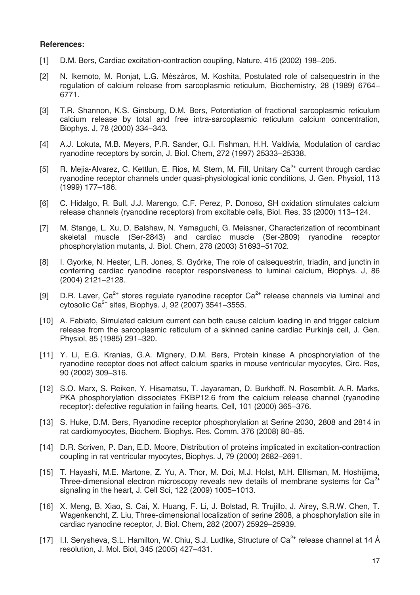#### **References:**

- [1] D.M. Bers, Cardiac excitation-contraction coupling, Nature, 415 (2002) 198–205.
- [2] N. Ikemoto, M. Ronjat, L.G. Mészáros, M. Koshita, Postulated role of calsequestrin in the regulation of calcium release from sarcoplasmic reticulum, Biochemistry, 28 (1989) 6764– 6771.
- [3] T.R. Shannon, K.S. Ginsburg, D.M. Bers, Potentiation of fractional sarcoplasmic reticulum calcium release by total and free intra-sarcoplasmic reticulum calcium concentration, Biophys. J, 78 (2000) 334–343.
- [4] A.J. Lokuta, M.B. Meyers, P.R. Sander, G.I. Fishman, H.H. Valdivia, Modulation of cardiac ryanodine receptors by sorcin, J. Biol. Chem, 272 (1997) 25333–25338.
- [5] R. Mejia-Alvarez, C. Kettlun, E. Rios, M. Stern, M. Fill, Unitary Ca<sup>2+</sup> current through cardiac ryanodine receptor channels under quasi-physiological ionic conditions, J. Gen. Physiol, 113 (1999) 177–186.
- [6] C. Hidalgo, R. Bull, J.J. Marengo, C.F. Perez, P. Donoso, SH oxidation stimulates calcium release channels (ryanodine receptors) from excitable cells, Biol. Res, 33 (2000) 113–124.
- [7] M. Stange, L. Xu, D. Balshaw, N. Yamaguchi, G. Meissner, Characterization of recombinant skeletal muscle (Ser-2843) and cardiac muscle (Ser-2809) ryanodine receptor phosphorylation mutants, J. Biol. Chem, 278 (2003) 51693–51702.
- [8] I. Gyorke, N. Hester, L.R. Jones, S. Györke, The role of calsequestrin, triadin, and junctin in conferring cardiac ryanodine receptor responsiveness to luminal calcium, Biophys. J, 86 (2004) 2121–2128.
- [9] D.R. Laver,  $Ca^{2+}$  stores regulate ryanodine receptor  $Ca^{2+}$  release channels via luminal and cytosolic Ca<sup>2+</sup> sites, Biophys. J, 92 (2007) 3541–3555.
- [10] A. Fabiato, Simulated calcium current can both cause calcium loading in and trigger calcium release from the sarcoplasmic reticulum of a skinned canine cardiac Purkinje cell, J. Gen. Physiol, 85 (1985) 291–320.
- [11] Y. Li, E.G. Kranias, G.A. Mignery, D.M. Bers, Protein kinase A phosphorylation of the ryanodine receptor does not affect calcium sparks in mouse ventricular myocytes, Circ. Res, 90 (2002) 309–316.
- [12] S.O. Marx, S. Reiken, Y. Hisamatsu, T. Jayaraman, D. Burkhoff, N. Rosemblit, A.R. Marks, PKA phosphorylation dissociates FKBP12.6 from the calcium release channel (ryanodine receptor): defective regulation in failing hearts, Cell, 101 (2000) 365–376.
- [13] S. Huke, D.M. Bers, Ryanodine receptor phosphorylation at Serine 2030, 2808 and 2814 in rat cardiomyocytes, Biochem. Biophys. Res. Comm, 376 (2008) 80–85.
- [14] D.R. Scriven, P. Dan, E.D. Moore, Distribution of proteins implicated in excitation-contraction coupling in rat ventricular myocytes, Biophys. J, 79 (2000) 2682–2691.
- [15] T. Hayashi, M.E. Martone, Z. Yu, A. Thor, M. Doi, M.J. Holst, M.H. Ellisman, M. Hoshijima, Three-dimensional electron microscopy reveals new details of membrane systems for  $Ca<sup>2+</sup>$ signaling in the heart, J. Cell Sci, 122 (2009) 1005–1013.
- [16] X. Meng, B. Xiao, S. Cai, X. Huang, F. Li, J. Bolstad, R. Trujillo, J. Airey, S.R.W. Chen, T. Wagenkencht, Z. Liu, Three-dimensional localization of serine 2808, a phosphorylation site in cardiac ryanodine receptor, J. Biol. Chem, 282 (2007) 25929–25939.
- [17] I.I. Serysheva, S.L. Hamilton, W. Chiu, S.J. Ludtke, Structure of  $Ca^{2+}$  release channel at 14 Å resolution, J. Mol. Biol, 345 (2005) 427–431.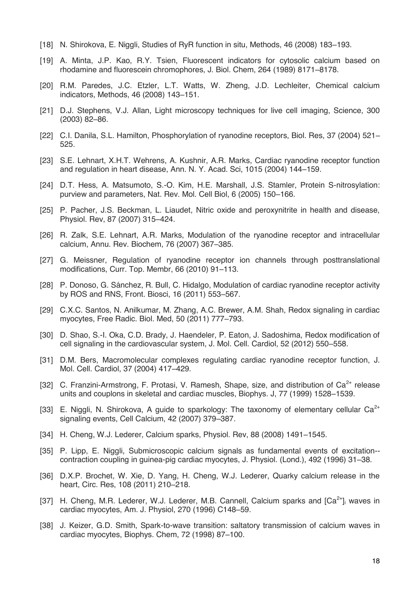- [18] N. Shirokova, E. Niggli, Studies of RyR function in situ, Methods, 46 (2008) 183–193.
- [19] A. Minta, J.P. Kao, R.Y. Tsien, Fluorescent indicators for cytosolic calcium based on rhodamine and fluorescein chromophores, J. Biol. Chem, 264 (1989) 8171–8178.
- [20] R.M. Paredes, J.C. Etzler, L.T. Watts, W. Zheng, J.D. Lechleiter, Chemical calcium indicators, Methods, 46 (2008) 143–151.
- [21] D.J. Stephens, V.J. Allan, Light microscopy techniques for live cell imaging, Science, 300 (2003) 82–86.
- [22] C.I. Danila, S.L. Hamilton, Phosphorylation of ryanodine receptors, Biol. Res, 37 (2004) 521– 525.
- [23] S.E. Lehnart, X.H.T. Wehrens, A. Kushnir, A.R. Marks, Cardiac ryanodine receptor function and regulation in heart disease, Ann. N. Y. Acad. Sci, 1015 (2004) 144–159.
- [24] D.T. Hess, A. Matsumoto, S.-O. Kim, H.E. Marshall, J.S. Stamler, Protein S-nitrosylation: purview and parameters, Nat. Rev. Mol. Cell Biol, 6 (2005) 150–166.
- [25] P. Pacher, J.S. Beckman, L. Liaudet, Nitric oxide and peroxynitrite in health and disease, Physiol. Rev, 87 (2007) 315–424.
- [26] R. Zalk, S.E. Lehnart, A.R. Marks, Modulation of the ryanodine receptor and intracellular calcium, Annu. Rev. Biochem, 76 (2007) 367–385.
- [27] G. Meissner, Regulation of ryanodine receptor ion channels through posttranslational modifications, Curr. Top. Membr, 66 (2010) 91–113.
- [28] P. Donoso, G. Sánchez, R. Bull, C. Hidalgo, Modulation of cardiac ryanodine receptor activity by ROS and RNS, Front. Biosci, 16 (2011) 553–567.
- [29] C.X.C. Santos, N. Anilkumar, M. Zhang, A.C. Brewer, A.M. Shah, Redox signaling in cardiac myocytes, Free Radic. Biol. Med, 50 (2011) 777–793.
- [30] D. Shao, S.-I. Oka, C.D. Brady, J. Haendeler, P. Eaton, J. Sadoshima, Redox modification of cell signaling in the cardiovascular system, J. Mol. Cell. Cardiol, 52 (2012) 550–558.
- [31] D.M. Bers, Macromolecular complexes regulating cardiac ryanodine receptor function, J. Mol. Cell. Cardiol, 37 (2004) 417–429.
- [32] C. Franzini-Armstrong, F. Protasi, V. Ramesh, Shape, size, and distribution of  $Ca^{2+}$  release units and couplons in skeletal and cardiac muscles, Biophys. J, 77 (1999) 1528–1539.
- [33] E. Niggli, N. Shirokova, A guide to sparkology: The taxonomy of elementary cellular  $Ca^{2+}$ signaling events, Cell Calcium, 42 (2007) 379–387.
- [34] H. Cheng, W.J. Lederer, Calcium sparks, Physiol. Rev, 88 (2008) 1491–1545.
- [35] P. Lipp, E. Niggli, Submicroscopic calcium signals as fundamental events of excitation- contraction coupling in guinea-pig cardiac myocytes, J. Physiol. (Lond.), 492 (1996) 31–38.
- [36] D.X.P. Brochet, W. Xie, D. Yang, H. Cheng, W.J. Lederer, Quarky calcium release in the heart, Circ. Res, 108 (2011) 210–218.
- [37] H. Cheng, M.R. Lederer, W.J. Lederer, M.B. Cannell, Calcium sparks and [Ca<sup>2+</sup>] waves in cardiac myocytes, Am. J. Physiol, 270 (1996) C148–59.
- [38] J. Keizer, G.D. Smith, Spark-to-wave transition: saltatory transmission of calcium waves in cardiac myocytes, Biophys. Chem, 72 (1998) 87–100.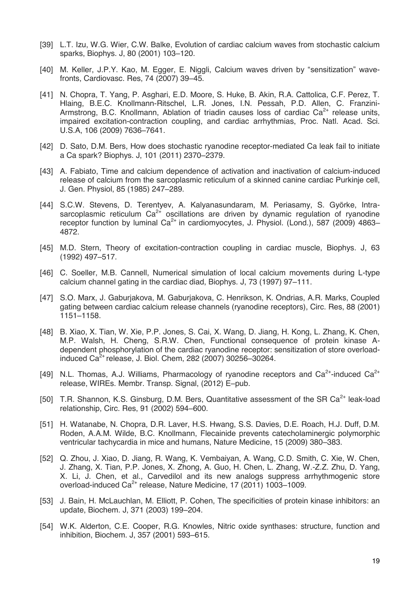- [39] L.T. Izu, W.G. Wier, C.W. Balke, Evolution of cardiac calcium waves from stochastic calcium sparks, Biophys. J, 80 (2001) 103–120.
- [40] M. Keller, J.P.Y. Kao, M. Egger, E. Niggli, Calcium waves driven by "sensitization" wavefronts, Cardiovasc. Res, 74 (2007) 39–45.
- [41] N. Chopra, T. Yang, P. Asghari, E.D. Moore, S. Huke, B. Akin, R.A. Cattolica, C.F. Perez, T. Hlaing, B.E.C. Knollmann-Ritschel, L.R. Jones, I.N. Pessah, P.D. Allen, C. Franzini-Armstrong, B.C. Knollmann, Ablation of triadin causes loss of cardiac  $Ca<sup>2+</sup>$  release units, impaired excitation-contraction coupling, and cardiac arrhythmias, Proc. Natl. Acad. Sci. U.S.A, 106 (2009) 7636–7641.
- [42] D. Sato, D.M. Bers, How does stochastic ryanodine receptor-mediated Ca leak fail to initiate a Ca spark? Biophys. J, 101 (2011) 2370–2379.
- [43] A. Fabiato, Time and calcium dependence of activation and inactivation of calcium-induced release of calcium from the sarcoplasmic reticulum of a skinned canine cardiac Purkinje cell, J. Gen. Physiol, 85 (1985) 247–289.
- [44] S.C.W. Stevens, D. Terentyev, A. Kalyanasundaram, M. Periasamy, S. Györke, Intrasarcoplasmic reticulum  $Ca^{2+}$  oscillations are driven by dynamic regulation of ryanodine receptor function by luminal  $Ca^{2+}$  in cardiomyocytes, J. Physiol. (Lond.), 587 (2009) 4863– 4872.
- [45] M.D. Stern, Theory of excitation-contraction coupling in cardiac muscle, Biophys. J, 63 (1992) 497–517.
- [46] C. Soeller, M.B. Cannell, Numerical simulation of local calcium movements during L-type calcium channel gating in the cardiac diad, Biophys. J, 73 (1997) 97–111.
- [47] S.O. Marx, J. Gaburjakova, M. Gaburjakova, C. Henrikson, K. Ondrias, A.R. Marks, Coupled gating between cardiac calcium release channels (ryanodine receptors), Circ. Res, 88 (2001) 1151–1158.
- [48] B. Xiao, X. Tian, W. Xie, P.P. Jones, S. Cai, X. Wang, D. Jiang, H. Kong, L. Zhang, K. Chen, M.P. Walsh, H. Cheng, S.R.W. Chen, Functional consequence of protein kinase Adependent phosphorylation of the cardiac ryanodine receptor: sensitization of store overloadinduced Ca<sup>2+</sup> release, J. Biol. Chem, 282 (2007) 30256–30264.
- [49] N.L. Thomas, A.J. Williams, Pharmacology of ryanodine receptors and  $Ca^{2+}$ -induced  $Ca^{2+}$ release, WIREs. Membr. Transp. Signal, (2012) E–pub.
- [50] T.R. Shannon, K.S. Ginsburg, D.M. Bers, Quantitative assessment of the SR Ca<sup>2+</sup> leak-load relationship, Circ. Res, 91 (2002) 594–600.
- [51] H. Watanabe, N. Chopra, D.R. Laver, H.S. Hwang, S.S. Davies, D.E. Roach, H.J. Duff, D.M. Roden, A.A.M. Wilde, B.C. Knollmann, Flecainide prevents catecholaminergic polymorphic ventricular tachycardia in mice and humans, Nature Medicine, 15 (2009) 380–383.
- [52] Q. Zhou, J. Xiao, D. Jiang, R. Wang, K. Vembaiyan, A. Wang, C.D. Smith, C. Xie, W. Chen, J. Zhang, X. Tian, P.P. Jones, X. Zhong, A. Guo, H. Chen, L. Zhang, W.-Z.Z. Zhu, D. Yang, X. Li, J. Chen, et al., Carvedilol and its new analogs suppress arrhythmogenic store overload-induced Ca<sup>2+</sup> release, Nature Medicine, 17 (2011) 1003-1009.
- [53] J. Bain, H. McLauchlan, M. Elliott, P. Cohen, The specificities of protein kinase inhibitors: an update, Biochem. J, 371 (2003) 199–204.
- [54] W.K. Alderton, C.E. Cooper, R.G. Knowles, Nitric oxide synthases: structure, function and inhibition, Biochem. J, 357 (2001) 593–615.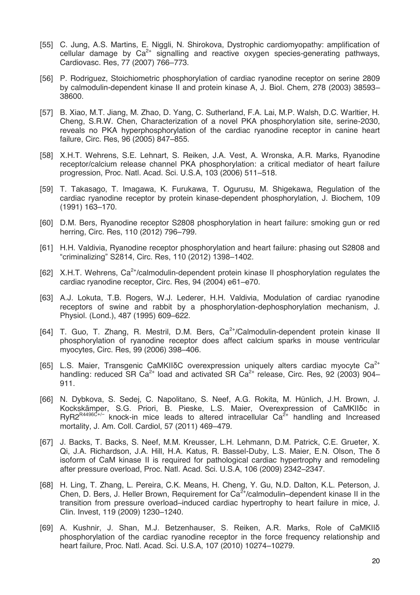- [55] C. Jung, A.S. Martins, E. Niggli, N. Shirokova, Dystrophic cardiomyopathy: amplification of cellular damage by  $Ca^{2+}$  signalling and reactive oxygen species-generating pathways, Cardiovasc. Res, 77 (2007) 766–773.
- [56] P. Rodriguez, Stoichiometric phosphorylation of cardiac ryanodine receptor on serine 2809 by calmodulin-dependent kinase II and protein kinase A, J. Biol. Chem, 278 (2003) 38593– 38600.
- [57] B. Xiao, M.T. Jiang, M. Zhao, D. Yang, C. Sutherland, F.A. Lai, M.P. Walsh, D.C. Warltier, H. Cheng, S.R.W. Chen, Characterization of a novel PKA phosphorylation site, serine-2030, reveals no PKA hyperphosphorylation of the cardiac ryanodine receptor in canine heart failure, Circ. Res, 96 (2005) 847–855.
- [58] X.H.T. Wehrens, S.E. Lehnart, S. Reiken, J.A. Vest, A. Wronska, A.R. Marks, Ryanodine receptor/calcium release channel PKA phosphorylation: a critical mediator of heart failure progression, Proc. Natl. Acad. Sci. U.S.A, 103 (2006) 511–518.
- [59] T. Takasago, T. Imagawa, K. Furukawa, T. Ogurusu, M. Shigekawa, Regulation of the cardiac ryanodine receptor by protein kinase-dependent phosphorylation, J. Biochem, 109 (1991) 163–170.
- [60] D.M. Bers, Ryanodine receptor S2808 phosphorylation in heart failure: smoking gun or red herring, Circ. Res, 110 (2012) 796–799.
- [61] H.H. Valdivia, Ryanodine receptor phosphorylation and heart failure: phasing out S2808 and "criminalizing" S2814, Circ. Res, 110 (2012) 1398–1402.
- [62] X.H.T. Wehrens,  $Ca^{2+}/cal$ nalmodulin-dependent protein kinase II phosphorylation regulates the cardiac ryanodine receptor, Circ. Res, 94 (2004) e61–e70.
- [63] A.J. Lokuta, T.B. Rogers, W.J. Lederer, H.H. Valdivia, Modulation of cardiac ryanodine receptors of swine and rabbit by a phosphorylation-dephosphorylation mechanism, J. Physiol. (Lond.), 487 (1995) 609–622.
- [64] T. Guo, T. Zhang, R. Mestril, D.M. Bers, Ca<sup>2+</sup>/Calmodulin-dependent protein kinase II phosphorylation of ryanodine receptor does affect calcium sparks in mouse ventricular myocytes, Circ. Res, 99 (2006) 398–406.
- [65] L.S. Maier, Transgenic CaMKII<sub>OC</sub> overexpression uniquely alters cardiac myocyte Ca<sup>2+</sup> handling: reduced SR Ca<sup>2+</sup> load and activated SR Ca<sup>2+</sup> release, Circ. Res, 92 (2003) 904– 911.
- [66] N. Dybkova, S. Sedej, C. Napolitano, S. Neef, A.G. Rokita, M. Hünlich, J.H. Brown, J. Kockskämper, S.G. Priori, B. Pieske, L.S. Maier, Overexpression of CaMKIIδc in  $RyR2^{R4496C+/−}$  knock-in mice leads to altered intracellular  $Ca<sup>2+</sup>$  handling and Increased mortality, J. Am. Coll. Cardiol, 57 (2011) 469–479.
- [67] J. Backs, T. Backs, S. Neef, M.M. Kreusser, L.H. Lehmann, D.M. Patrick, C.E. Grueter, X. Qi, J.A. Richardson, J.A. Hill, H.A. Katus, R. Bassel-Duby, L.S. Maier, E.N. Olson, The δ isoform of CaM kinase II is required for pathological cardiac hypertrophy and remodeling after pressure overload, Proc. Natl. Acad. Sci. U.S.A, 106 (2009) 2342–2347.
- [68] H. Ling, T. Zhang, L. Pereira, C.K. Means, H. Cheng, Y. Gu, N.D. Dalton, K.L. Peterson, J. Chen, D. Bers, J. Heller Brown, Requirement for  $Ca^{2+}/cal$ calmodulin–dependent kinase II in the transition from pressure overload–induced cardiac hypertrophy to heart failure in mice, J. Clin. Invest, 119 (2009) 1230–1240.
- [69] A. Kushnir, J. Shan, M.J. Betzenhauser, S. Reiken, A.R. Marks, Role of CaMKIIδ phosphorylation of the cardiac ryanodine receptor in the force frequency relationship and heart failure, Proc. Natl. Acad. Sci. U.S.A, 107 (2010) 10274–10279.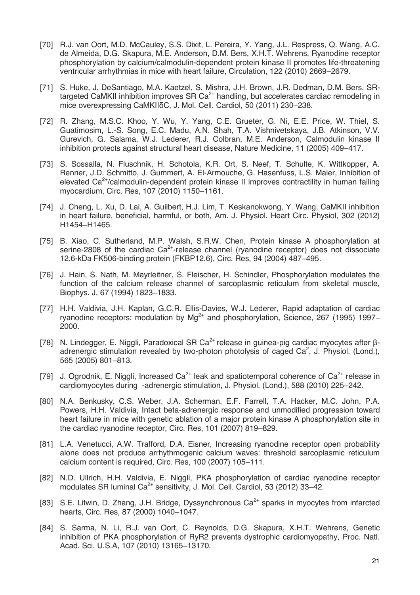- [70] R.J. van Oort, M.D. McCauley, S.S. Dixit, L. Pereira, Y. Yang, J.L. Respress, Q. Wang, A.C. de Almeida, D.G. Skapura, M.E. Anderson, D.M. Bers, X.H.T. Wehrens, Ryanodine receptor phosphorylation by calcium/calmodulin-dependent protein kinase II promotes life-threatening ventricular arrhythmias in mice with heart failure, Circulation, 122 (2010) 2669–2679.
- [71] S. Huke, J. DeSantiago, M.A. Kaetzel, S. Mishra, J.H. Brown, J.R. Dedman, D.M. Bers, SRtargeted CaMKII inhibition improves  $SR Ca<sup>2+</sup>$  handling, but accelerates cardiac remodeling in mice overexpressing CaMKIIδC, J. Mol. Cell. Cardiol, 50 (2011) 230–238.
- [72] R. Zhang, M.S.C. Khoo, Y. Wu, Y. Yang, C.E. Grueter, G. Ni, E.E. Price, W. Thiel, S. Guatimosim, L.-S. Song, E.C. Madu, A.N. Shah, T.A. Vishnivetskaya, J.B. Atkinson, V.V. Gurevich, G. Salama, W.J. Lederer, R.J. Colbran, M.E. Anderson, Calmodulin kinase II inhibition protects against structural heart disease, Nature Medicine, 11 (2005) 409–417.
- [73] S. Sossalla, N. Fluschnik, H. Schotola, K.R. Ort, S. Neef, T. Schulte, K. Wittkopper, A. Renner, J.D. Schmitto, J. Gummert, A. El-Armouche, G. Hasenfuss, L.S. Maier, Inhibition of elevated  $Ca<sup>2+</sup>/calmodulin-dependent protein kinase II improves contractility in human failing$ myocardium, Circ. Res, 107 (2010) 1150–1161.
- [74] J. Cheng, L. Xu, D. Lai, A. Guilbert, H.J. Lim, T. Keskanokwong, Y. Wang, CaMKII inhibition in heart failure, beneficial, harmful, or both, Am. J. Physiol. Heart Circ. Physiol, 302 (2012) H1454–H1465.
- [75] B. Xiao, C. Sutherland, M.P. Walsh, S.R.W. Chen, Protein kinase A phosphorylation at serine-2808 of the cardiac  $Ca^{2+}$ -release channel (ryanodine receptor) does not dissociate 12.6-kDa FK506-binding protein (FKBP12.6), Circ. Res, 94 (2004) 487–495.
- [76] J. Hain, S. Nath, M. Mayrleitner, S. Fleischer, H. Schindler, Phosphorylation modulates the function of the calcium release channel of sarcoplasmic reticulum from skeletal muscle, Biophys. J, 67 (1994) 1823–1833.
- [77] H.H. Valdivia, J.H. Kaplan, G.C.R. Ellis-Davies, W.J. Lederer, Rapid adaptation of cardiac ryanodine receptors: modulation by  $Mg^{2+}$  and phosphorylation, Science, 267 (1995) 1997– 2000.
- [78] N. Lindegger, E. Niggli, Paradoxical SR Ca<sup>2+</sup> release in guinea-pig cardiac myocytes after βadrenergic stimulation revealed by two-photon photolysis of caged  $Ca<sup>2</sup>$ , J. Physiol. (Lond.), 565 (2005) 801–813.
- [79] J. Ogrodnik, E. Niggli, Increased Ca<sup>2+</sup> leak and spatiotemporal coherence of Ca<sup>2+</sup> release in cardiomyocytes during -adrenergic stimulation, J. Physiol. (Lond.), 588 (2010) 225–242.
- [80] N.A. Benkusky, C.S. Weber, J.A. Scherman, E.F. Farrell, T.A. Hacker, M.C. John, P.A. Powers, H.H. Valdivia, Intact beta-adrenergic response and unmodified progression toward heart failure in mice with genetic ablation of a major protein kinase A phosphorylation site in the cardiac ryanodine receptor, Circ. Res, 101 (2007) 819–829.
- [81] L.A. Venetucci, A.W. Trafford, D.A. Eisner, Increasing ryanodine receptor open probability alone does not produce arrhythmogenic calcium waves: threshold sarcoplasmic reticulum calcium content is required, Circ. Res, 100 (2007) 105–111.
- [82] N.D. Ullrich, H.H. Valdivia, E. Niggli, PKA phosphorylation of cardiac ryanodine receptor modulates SR luminal  $Ca^{2+}$  sensitivity, J. Mol. Cell. Cardiol, 53 (2012) 33-42.
- [83] S.E. Litwin, D. Zhang, J.H. Bridge, Dyssynchronous  $Ca^{2+}$  sparks in myocytes from infarcted hearts, Circ. Res, 87 (2000) 1040–1047.
- [84] S. Sarma, N. Li, R.J. van Oort, C. Reynolds, D.G. Skapura, X.H.T. Wehrens, Genetic inhibition of PKA phosphorylation of RyR2 prevents dystrophic cardiomyopathy, Proc. Natl. Acad. Sci. U.S.A, 107 (2010) 13165–13170.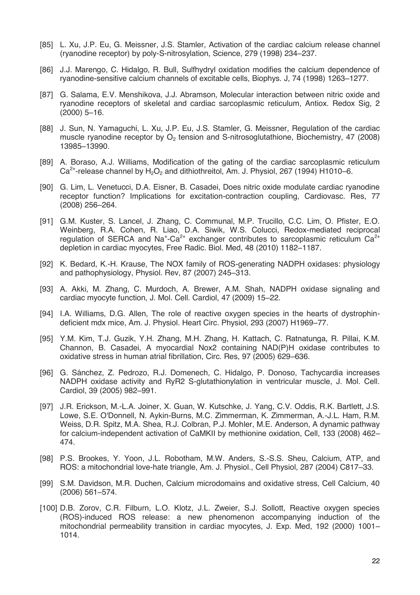- [85] L. Xu, J.P. Eu, G. Meissner, J.S. Stamler, Activation of the cardiac calcium release channel (ryanodine receptor) by poly-S-nitrosylation, Science, 279 (1998) 234–237.
- [86] J.J. Marengo, C. Hidalgo, R. Bull, Sulfhydryl oxidation modifies the calcium dependence of ryanodine-sensitive calcium channels of excitable cells, Biophys. J, 74 (1998) 1263–1277.
- [87] G. Salama, E.V. Menshikova, J.J. Abramson, Molecular interaction between nitric oxide and ryanodine receptors of skeletal and cardiac sarcoplasmic reticulum, Antiox. Redox Sig, 2 (2000) 5–16.
- [88] J. Sun, N. Yamaguchi, L. Xu, J.P. Eu, J.S. Stamler, G. Meissner, Regulation of the cardiac muscle ryanodine receptor by  $O<sub>2</sub>$  tension and S-nitrosoglutathione, Biochemistry, 47 (2008) 13985–13990.
- [89] A. Boraso, A.J. Williams, Modification of the gating of the cardiac sarcoplasmic reticulum Ca<sup>2+</sup>-release channel by  $H_2O_2$  and dithiothreitol, Am. J. Physiol, 267 (1994) H1010–6.
- [90] G. Lim, L. Venetucci, D.A. Eisner, B. Casadei, Does nitric oxide modulate cardiac ryanodine receptor function? Implications for excitation-contraction coupling, Cardiovasc. Res, 77 (2008) 256–264.
- [91] G.M. Kuster, S. Lancel, J. Zhang, C. Communal, M.P. Trucillo, C.C. Lim, O. Pfister, E.O. Weinberg, R.A. Cohen, R. Liao, D.A. Siwik, W.S. Colucci, Redox-mediated reciprocal regulation of SERCA and Na<sup>+</sup>-Ca<sup>2+</sup> exchanger contributes to sarcoplasmic reticulum Ca<sup>2+</sup> depletion in cardiac myocytes, Free Radic. Biol. Med, 48 (2010) 1182–1187.
- [92] K. Bedard, K.-H. Krause, The NOX family of ROS-generating NADPH oxidases: physiology and pathophysiology, Physiol. Rev, 87 (2007) 245–313.
- [93] A. Akki, M. Zhang, C. Murdoch, A. Brewer, A.M. Shah, NADPH oxidase signaling and cardiac myocyte function, J. Mol. Cell. Cardiol, 47 (2009) 15–22.
- [94] I.A. Williams, D.G. Allen, The role of reactive oxygen species in the hearts of dystrophindeficient mdx mice, Am. J. Physiol. Heart Circ. Physiol, 293 (2007) H1969–77.
- [95] Y.M. Kim, T.J. Guzik, Y.H. Zhang, M.H. Zhang, H. Kattach, C. Ratnatunga, R. Pillai, K.M. Channon, B. Casadei, A myocardial Nox2 containing NAD(P)H oxidase contributes to oxidative stress in human atrial fibrillation, Circ. Res, 97 (2005) 629–636.
- [96] G. Sánchez, Z. Pedrozo, R.J. Domenech, C. Hidalgo, P. Donoso, Tachycardia increases NADPH oxidase activity and RyR2 S-glutathionylation in ventricular muscle, J. Mol. Cell. Cardiol, 39 (2005) 982–991.
- [97] J.R. Erickson, M.-L.A. Joiner, X. Guan, W. Kutschke, J. Yang, C.V. Oddis, R.K. Bartlett, J.S. Lowe, S.E. O'Donnell, N. Aykin-Burns, M.C. Zimmerman, K. Zimmerman, A.-J.L. Ham, R.M. Weiss, D.R. Spitz, M.A. Shea, R.J. Colbran, P.J. Mohler, M.E. Anderson, A dynamic pathway for calcium-independent activation of CaMKII by methionine oxidation, Cell, 133 (2008) 462– 474.
- [98] P.S. Brookes, Y. Yoon, J.L. Robotham, M.W. Anders, S.-S.S. Sheu, Calcium, ATP, and ROS: a mitochondrial love-hate triangle, Am. J. Physiol., Cell Physiol, 287 (2004) C817–33.
- [99] S.M. Davidson, M.R. Duchen, Calcium microdomains and oxidative stress, Cell Calcium, 40 (2006) 561–574.
- [100] D.B. Zorov, C.R. Filburn, L.O. Klotz, J.L. Zweier, S.J. Sollott, Reactive oxygen species (ROS)-induced ROS release: a new phenomenon accompanying induction of the mitochondrial permeability transition in cardiac myocytes, J. Exp. Med, 192 (2000) 1001– 1014.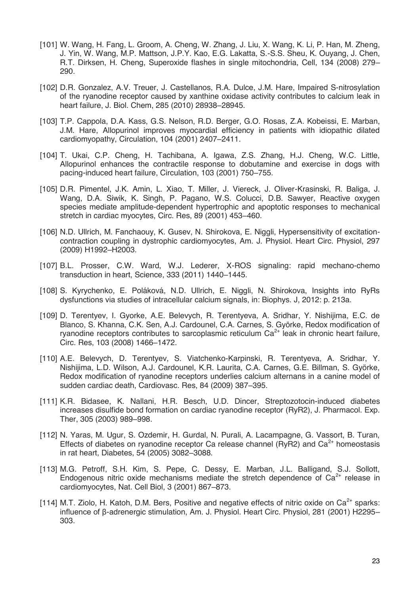- [101] W. Wang, H. Fang, L. Groom, A. Cheng, W. Zhang, J. Liu, X. Wang, K. Li, P. Han, M. Zheng, J. Yin, W. Wang, M.P. Mattson, J.P.Y. Kao, E.G. Lakatta, S.-S.S. Sheu, K. Ouyang, J. Chen, R.T. Dirksen, H. Cheng, Superoxide flashes in single mitochondria, Cell, 134 (2008) 279– 290.
- [102] D.R. Gonzalez, A.V. Treuer, J. Castellanos, R.A. Dulce, J.M. Hare, Impaired S-nitrosylation of the ryanodine receptor caused by xanthine oxidase activity contributes to calcium leak in heart failure, J. Biol. Chem, 285 (2010) 28938–28945.
- [103] T.P. Cappola, D.A. Kass, G.S. Nelson, R.D. Berger, G.O. Rosas, Z.A. Kobeissi, E. Marban, J.M. Hare, Allopurinol improves myocardial efficiency in patients with idiopathic dilated cardiomyopathy, Circulation, 104 (2001) 2407–2411.
- [104] T. Ukai, C.P. Cheng, H. Tachibana, A. Igawa, Z.S. Zhang, H.J. Cheng, W.C. Little, Allopurinol enhances the contractile response to dobutamine and exercise in dogs with pacing-induced heart failure, Circulation, 103 (2001) 750–755.
- [105] D.R. Pimentel, J.K. Amin, L. Xiao, T. Miller, J. Viereck, J. Oliver-Krasinski, R. Baliga, J. Wang, D.A. Siwik, K. Singh, P. Pagano, W.S. Colucci, D.B. Sawyer, Reactive oxygen species mediate amplitude-dependent hypertrophic and apoptotic responses to mechanical stretch in cardiac myocytes, Circ. Res, 89 (2001) 453–460.
- [106] N.D. Ullrich, M. Fanchaouy, K. Gusev, N. Shirokova, E. Niggli, Hypersensitivity of excitationcontraction coupling in dystrophic cardiomyocytes, Am. J. Physiol. Heart Circ. Physiol, 297 (2009) H1992–H2003.
- [107] B.L. Prosser, C.W. Ward, W.J. Lederer, X-ROS signaling: rapid mechano-chemo transduction in heart, Science, 333 (2011) 1440–1445.
- [108] S. Kyrychenko, E. Poláková, N.D. Ullrich, E. Niggli, N. Shirokova, Insights into RyRs dysfunctions via studies of intracellular calcium signals, in: Biophys. J, 2012: p. 213a.
- [109] D. Terentyev, I. Gyorke, A.E. Belevych, R. Terentyeva, A. Sridhar, Y. Nishijima, E.C. de Blanco, S. Khanna, C.K. Sen, A.J. Cardounel, C.A. Carnes, S. Györke, Redox modification of ryanodine receptors contributes to sarcoplasmic reticulum  $Ca<sup>2+</sup>$  leak in chronic heart failure, Circ. Res, 103 (2008) 1466–1472.
- [110] A.E. Belevych, D. Terentyev, S. Viatchenko-Karpinski, R. Terentyeva, A. Sridhar, Y. Nishijima, L.D. Wilson, A.J. Cardounel, K.R. Laurita, C.A. Carnes, G.E. Billman, S. Györke, Redox modification of ryanodine receptors underlies calcium alternans in a canine model of sudden cardiac death, Cardiovasc. Res, 84 (2009) 387–395.
- [111] K.R. Bidasee, K. Nallani, H.R. Besch, U.D. Dincer, Streptozotocin-induced diabetes increases disulfide bond formation on cardiac ryanodine receptor (RyR2), J. Pharmacol. Exp. Ther, 305 (2003) 989–998.
- [112] N. Yaras, M. Ugur, S. Ozdemir, H. Gurdal, N. Purali, A. Lacampagne, G. Vassort, B. Turan, Effects of diabetes on ryanodine receptor Ca release channel (RyR2) and  $Ca<sup>2+</sup>$  homeostasis in rat heart, Diabetes, 54 (2005) 3082–3088.
- [113] M.G. Petroff, S.H. Kim, S. Pepe, C. Dessy, E. Marban, J.L. Balligand, S.J. Sollott, Endogenous nitric oxide mechanisms mediate the stretch dependence of  $Ca<sup>2+</sup>$  release in cardiomyocytes, Nat. Cell Biol, 3 (2001) 867–873.
- [114] M.T. Ziolo, H. Katoh, D.M. Bers, Positive and negative effects of nitric oxide on  $Ca^{2+}$  sparks: influence of β-adrenergic stimulation, Am. J. Physiol. Heart Circ. Physiol, 281 (2001) H2295– 303.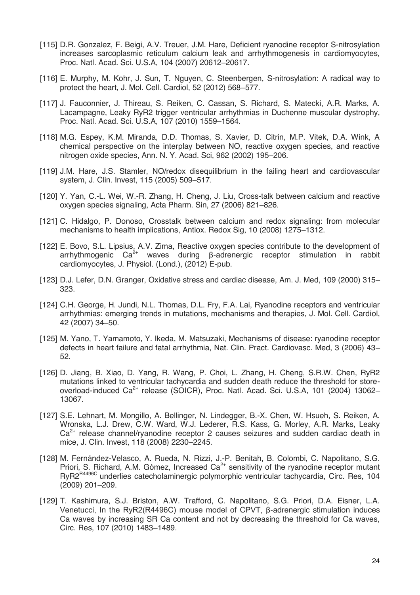- [115] D.R. Gonzalez, F. Beigi, A.V. Treuer, J.M. Hare, Deficient ryanodine receptor S-nitrosylation increases sarcoplasmic reticulum calcium leak and arrhythmogenesis in cardiomyocytes, Proc. Natl. Acad. Sci. U.S.A, 104 (2007) 20612–20617.
- [116] E. Murphy, M. Kohr, J. Sun, T. Nguyen, C. Steenbergen, S-nitrosylation: A radical way to protect the heart, J. Mol. Cell. Cardiol, 52 (2012) 568–577.
- [117] J. Fauconnier, J. Thireau, S. Reiken, C. Cassan, S. Richard, S. Matecki, A.R. Marks, A. Lacampagne, Leaky RyR2 trigger ventricular arrhythmias in Duchenne muscular dystrophy, Proc. Natl. Acad. Sci. U.S.A, 107 (2010) 1559–1564.
- [118] M.G. Espey, K.M. Miranda, D.D. Thomas, S. Xavier, D. Citrin, M.P. Vitek, D.A. Wink, A chemical perspective on the interplay between NO, reactive oxygen species, and reactive nitrogen oxide species, Ann. N. Y. Acad. Sci, 962 (2002) 195–206.
- [119] J.M. Hare, J.S. Stamler, NO/redox disequilibrium in the failing heart and cardiovascular system, J. Clin. Invest, 115 (2005) 509–517.
- [120] Y. Yan, C.-L. Wei, W.-R. Zhang, H. Cheng, J. Liu, Cross-talk between calcium and reactive oxygen species signaling, Acta Pharm. Sin, 27 (2006) 821–826.
- [121] C. Hidalgo, P. Donoso, Crosstalk between calcium and redox signaling: from molecular mechanisms to health implications, Antiox. Redox Sig, 10 (2008) 1275–1312.
- [122] E. Bovo, S.L. Lipsius, A.V. Zima, Reactive oxygen species contribute to the development of arrhythmogenic Ca<sup>2+</sup> waves during β-adrenergic receptor stimulation in rabbit cardiomyocytes, J. Physiol. (Lond.), (2012) E-pub.
- [123] D.J. Lefer, D.N. Granger, Oxidative stress and cardiac disease, Am. J. Med, 109 (2000) 315– 323.
- [124] C.H. George, H. Jundi, N.L. Thomas, D.L. Fry, F.A. Lai, Ryanodine receptors and ventricular arrhythmias: emerging trends in mutations, mechanisms and therapies, J. Mol. Cell. Cardiol, 42 (2007) 34–50.
- [125] M. Yano, T. Yamamoto, Y. Ikeda, M. Matsuzaki, Mechanisms of disease: ryanodine receptor defects in heart failure and fatal arrhythmia, Nat. Clin. Pract. Cardiovasc. Med, 3 (2006) 43– 52.
- [126] D. Jiang, B. Xiao, D. Yang, R. Wang, P. Choi, L. Zhang, H. Cheng, S.R.W. Chen, RyR2 mutations linked to ventricular tachycardia and sudden death reduce the threshold for storeoverload-induced Ca<sup>2+</sup> release (SOICR), Proc. Natl. Acad. Sci. U.S.A, 101 (2004) 13062-13067.
- [127] S.E. Lehnart, M. Mongillo, A. Bellinger, N. Lindegger, B.-X. Chen, W. Hsueh, S. Reiken, A. Wronska, L.J. Drew, C.W. Ward, W.J. Lederer, R.S. Kass, G. Morley, A.R. Marks, Leaky  $Ca<sup>2+</sup>$  release channel/ryanodine receptor 2 causes seizures and sudden cardiac death in mice, J. Clin. Invest, 118 (2008) 2230–2245.
- [128] M. Fernández-Velasco, A. Rueda, N. Rizzi, J.-P. Benitah, B. Colombi, C. Napolitano, S.G. Priori, S. Richard, A.M. Gómez, Increased  $Ca<sup>2+</sup>$  sensitivity of the ryanodine receptor mutant RyR2<sup>R4496C</sup> underlies catecholaminergic polymorphic ventricular tachycardia, Circ. Res, 104 (2009) 201–209.
- [129] T. Kashimura, S.J. Briston, A.W. Trafford, C. Napolitano, S.G. Priori, D.A. Eisner, L.A. Venetucci, In the RyR2(R4496C) mouse model of CPVT, β-adrenergic stimulation induces Ca waves by increasing SR Ca content and not by decreasing the threshold for Ca waves, Circ. Res, 107 (2010) 1483–1489.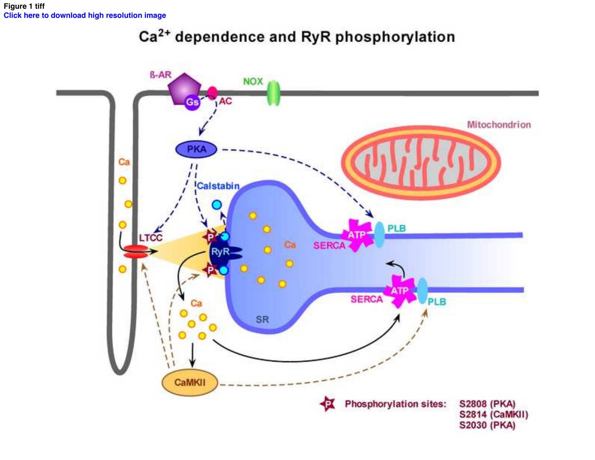## Ca<sup>2+</sup> dependence and RyR phosphorylation